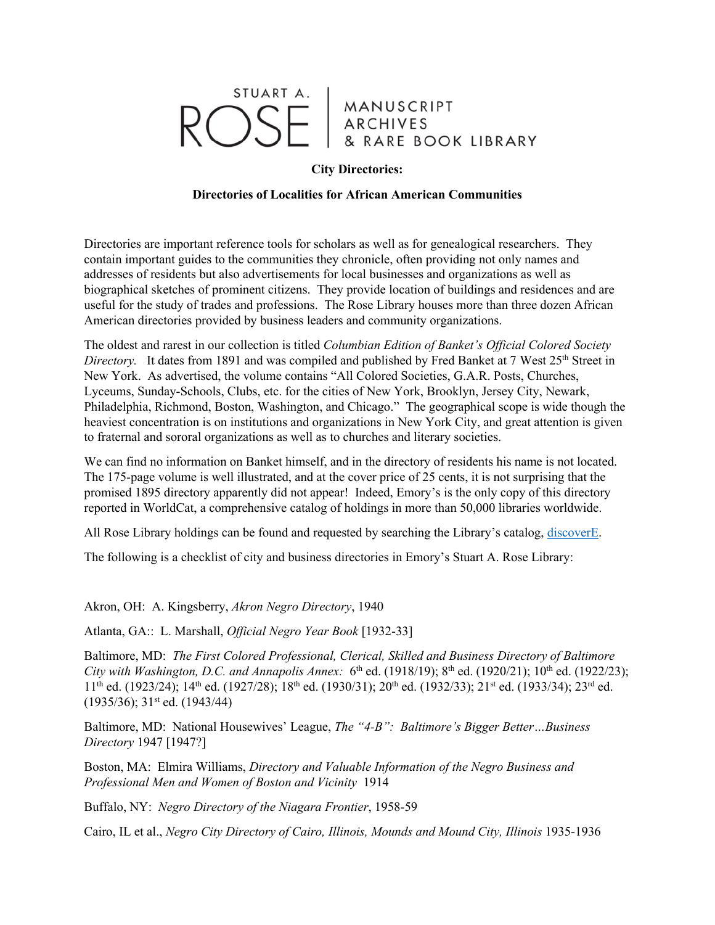## STUART A. MANUSCRIPT<br>ARCHIVES  $\bigcap \zeta$ F RE BOOK LIBRARY

## **City Directories:**

## **Directories of Localities for African American Communities**

Directories are important reference tools for scholars as well as for genealogical researchers. They contain important guides to the communities they chronicle, often providing not only names and addresses of residents but also advertisements for local businesses and organizations as well as biographical sketches of prominent citizens. They provide location of buildings and residences and are useful for the study of trades and professions. The Rose Library houses more than three dozen African American directories provided by business leaders and community organizations.

The oldest and rarest in our collection is titled *Columbian Edition of Banket's Official Colored Society Directory.* It dates from 1891 and was compiled and published by Fred Banket at 7 West 25<sup>th</sup> Street in New York. As advertised, the volume contains "All Colored Societies, G.A.R. Posts, Churches, Lyceums, Sunday-Schools, Clubs, etc. for the cities of New York, Brooklyn, Jersey City, Newark, Philadelphia, Richmond, Boston, Washington, and Chicago." The geographical scope is wide though the heaviest concentration is on institutions and organizations in New York City, and great attention is given to fraternal and sororal organizations as well as to churches and literary societies.

We can find no information on Banket himself, and in the directory of residents his name is not located. The 175-page volume is well illustrated, and at the cover price of 25 cents, it is not surprising that the promised 1895 directory apparently did not appear! Indeed, Emory's is the only copy of this directory reported in WorldCat, a comprehensive catalog of holdings in more than 50,000 libraries worldwide.

All Rose Library holdings can be found and requested by searching the Library's catalog, discoverE.

The following is a checklist of city and business directories in Emory's Stuart A. Rose Library:

Akron, OH: A. Kingsberry, *Akron Negro Directory*, 1940

Atlanta, GA:: L. Marshall, *Official Negro Year Book* [1932-33]

Baltimore, MD: *The First Colored Professional, Clerical, Skilled and Business Directory of Baltimore City with Washington, D.C. and Annapolis Annex:* 6<sup>th</sup> ed. (1918/19); 8<sup>th</sup> ed. (1920/21); 10<sup>th</sup> ed. (1922/23); 11<sup>th</sup> ed. (1923/24); 14<sup>th</sup> ed. (1927/28); 18<sup>th</sup> ed. (1930/31); 20<sup>th</sup> ed. (1932/33); 21<sup>st</sup> ed. (1933/34); 23<sup>rd</sup> ed. (1935/36); 31st ed. (1943/44)

Baltimore, MD: National Housewives' League, *The "4-B": Baltimore's Bigger Better…Business Directory* 1947 [1947?]

Boston, MA: Elmira Williams, *Directory and Valuable Information of the Negro Business and Professional Men and Women of Boston and Vicinity* 1914

Buffalo, NY: *Negro Directory of the Niagara Frontier*, 1958-59

Cairo, IL et al., *Negro City Directory of Cairo, Illinois, Mounds and Mound City, Illinois* 1935-1936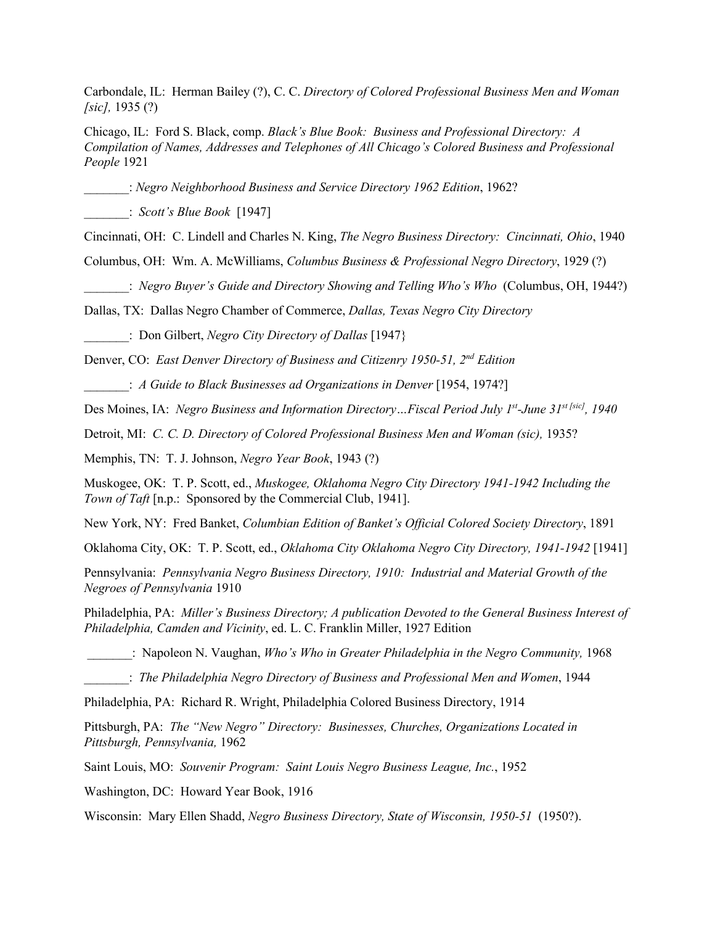Carbondale, IL: Herman Bailey (?), C. C. *Directory of Colored Professional Business Men and Woman [sic],* 1935 (?)

Chicago, IL: Ford S. Black, comp. *Black's Blue Book: Business and Professional Directory: A Compilation of Names, Addresses and Telephones of All Chicago's Colored Business and Professional People* 1921

\_\_\_\_\_\_\_: *Negro Neighborhood Business and Service Directory 1962 Edition*, 1962?

\_\_\_\_\_\_\_: *Scott's Blue Book* [1947]

Cincinnati, OH: C. Lindell and Charles N. King, *The Negro Business Directory: Cincinnati, Ohio*, 1940

Columbus, OH: Wm. A. McWilliams, *Columbus Business & Professional Negro Directory*, 1929 (?)

\_\_\_\_\_\_\_: *Negro Buyer's Guide and Directory Showing and Telling Who's Who* (Columbus, OH, 1944?)

Dallas, TX: Dallas Negro Chamber of Commerce, *Dallas, Texas Negro City Directory*

\_\_\_\_\_\_\_: Don Gilbert, *Negro City Directory of Dallas* [1947}

Denver, CO: *East Denver Directory of Business and Citizenry 1950-51, 2nd Edition*

\_\_\_\_\_\_\_: *A Guide to Black Businesses ad Organizations in Denver* [1954, 1974?]

Des Moines, IA: *Negro Business and Information Directory…Fiscal Period July 1st-June 31st [sic], 1940* 

Detroit, MI: *C. C. D. Directory of Colored Professional Business Men and Woman (sic),* 1935?

Memphis, TN: T. J. Johnson, *Negro Year Book*, 1943 (?)

Muskogee, OK: T. P. Scott, ed., *Muskogee, Oklahoma Negro City Directory 1941-1942 Including the Town of Taft* [n.p.: Sponsored by the Commercial Club, 1941].

New York, NY: Fred Banket, *Columbian Edition of Banket's Official Colored Society Directory*, 1891

Oklahoma City, OK: T. P. Scott, ed., *Oklahoma City Oklahoma Negro City Directory, 1941-1942* [1941]

Pennsylvania: *Pennsylvania Negro Business Directory, 1910: Industrial and Material Growth of the Negroes of Pennsylvania* 1910

Philadelphia, PA: *Miller's Business Directory; A publication Devoted to the General Business Interest of Philadelphia, Camden and Vicinity*, ed. L. C. Franklin Miller, 1927 Edition

\_\_\_\_\_\_\_: Napoleon N. Vaughan, *Who's Who in Greater Philadelphia in the Negro Community,* 1968

\_\_\_\_\_\_\_: *The Philadelphia Negro Directory of Business and Professional Men and Women*, 1944

Philadelphia, PA: Richard R. Wright, Philadelphia Colored Business Directory, 1914

Pittsburgh, PA: *The "New Negro" Directory: Businesses, Churches, Organizations Located in Pittsburgh, Pennsylvania,* 1962

Saint Louis, MO: *Souvenir Program: Saint Louis Negro Business League, Inc.*, 1952

Washington, DC: Howard Year Book, 1916

Wisconsin: Mary Ellen Shadd, *Negro Business Directory, State of Wisconsin, 1950-51* (1950?).